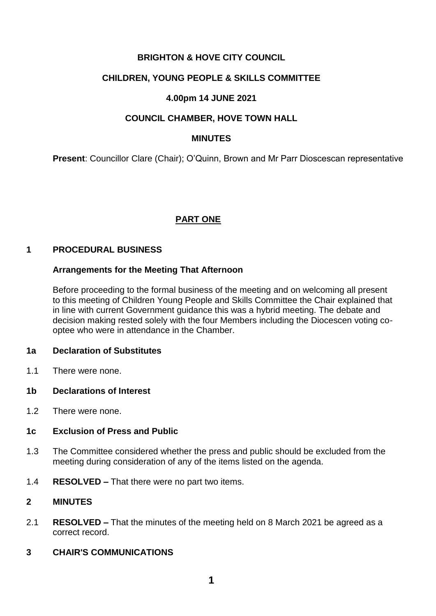# **BRIGHTON & HOVE CITY COUNCIL**

# **CHILDREN, YOUNG PEOPLE & SKILLS COMMITTEE**

# **4.00pm 14 JUNE 2021**

# **COUNCIL CHAMBER, HOVE TOWN HALL**

### **MINUTES**

**Present**: Councillor Clare (Chair); O'Quinn, Brown and Mr Parr Dioscescan representative

# **PART ONE**

#### **1 PROCEDURAL BUSINESS**

## **Arrangements for the Meeting That Afternoon**

Before proceeding to the formal business of the meeting and on welcoming all present to this meeting of Children Young People and Skills Committee the Chair explained that in line with current Government guidance this was a hybrid meeting. The debate and decision making rested solely with the four Members including the Diocescen voting cooptee who were in attendance in the Chamber.

## **1a Declaration of Substitutes**

1.1 There were none.

## **1b Declarations of Interest**

1.2 There were none.

## **1c Exclusion of Press and Public**

- 1.3 The Committee considered whether the press and public should be excluded from the meeting during consideration of any of the items listed on the agenda.
- 1.4 **RESOLVED –** That there were no part two items.

## **2 MINUTES**

2.1 **RESOLVED –** That the minutes of the meeting held on 8 March 2021 be agreed as a correct record.

# **3 CHAIR'S COMMUNICATIONS**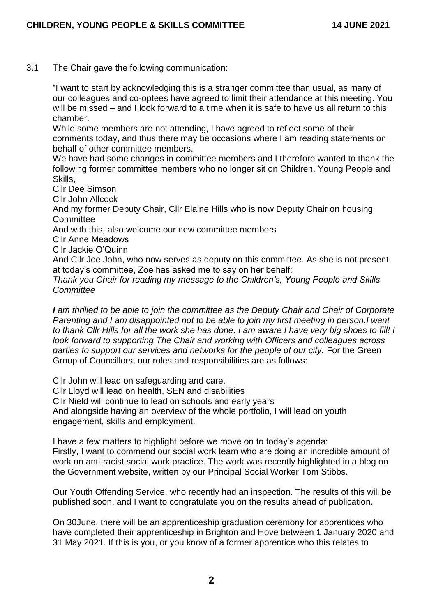3.1 The Chair gave the following communication:

"I want to start by acknowledging this is a stranger committee than usual, as many of our colleagues and co-optees have agreed to limit their attendance at this meeting. You will be missed – and I look forward to a time when it is safe to have us all return to this chamber.

While some members are not attending, I have agreed to reflect some of their comments today, and thus there may be occasions where I am reading statements on behalf of other committee members.

We have had some changes in committee members and I therefore wanted to thank the following former committee members who no longer sit on Children, Young People and Skills,

Cllr Dee Simson

Cllr John Allcock

And my former Deputy Chair, Cllr Elaine Hills who is now Deputy Chair on housing **Committee** 

And with this, also welcome our new committee members

Cllr Anne Meadows

Cllr Jackie O'Quinn

And Cllr Joe John, who now serves as deputy on this committee. As she is not present at today's committee, Zoe has asked me to say on her behalf:

*Thank you Chair for reading my message to the Children's, Young People and Skills Committee*

*I am thrilled to be able to join the committee as the Deputy Chair and Chair of Corporate Parenting and I am disappointed not to be able to join my first meeting in person.I want to thank Cllr Hills for all the work she has done, I am aware I have very big shoes to fill! I look forward to supporting The Chair and working with Officers and colleagues across*  parties to support our services and networks for the people of our city. For the Green Group of Councillors, our roles and responsibilities are as follows:

Cllr John will lead on safeguarding and care.

Cllr Lloyd will lead on health, SEN and disabilities

Cllr Nield will continue to lead on schools and early years

And alongside having an overview of the whole portfolio, I will lead on youth engagement, skills and employment.

I have a few matters to highlight before we move on to today's agenda:

Firstly, I want to commend our social work team who are doing an incredible amount of work on anti-racist social work practice. The work was recently highlighted in a blog on the Government website, written by our Principal Social Worker Tom Stibbs.

Our Youth Offending Service, who recently had an inspection. The results of this will be published soon, and I want to congratulate you on the results ahead of publication.

On 30June, there will be an apprenticeship graduation ceremony for apprentices who have completed their apprenticeship in Brighton and Hove between 1 January 2020 and 31 May 2021. If this is you, or you know of a former apprentice who this relates to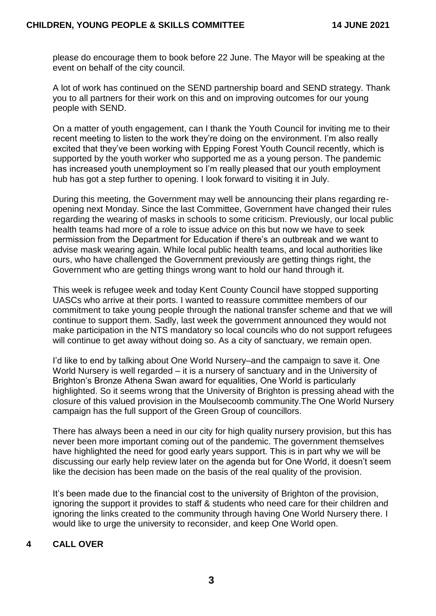please do encourage them to book before 22 June. The Mayor will be speaking at the event on behalf of the city council.

A lot of work has continued on the SEND partnership board and SEND strategy. Thank you to all partners for their work on this and on improving outcomes for our young people with SEND.

On a matter of youth engagement, can I thank the Youth Council for inviting me to their recent meeting to listen to the work they're doing on the environment. I'm also really excited that they've been working with Epping Forest Youth Council recently, which is supported by the youth worker who supported me as a young person. The pandemic has increased youth unemployment so I'm really pleased that our youth employment hub has got a step further to opening. I look forward to visiting it in July.

During this meeting, the Government may well be announcing their plans regarding reopening next Monday. Since the last Committee, Government have changed their rules regarding the wearing of masks in schools to some criticism. Previously, our local public health teams had more of a role to issue advice on this but now we have to seek permission from the Department for Education if there's an outbreak and we want to advise mask wearing again. While local public health teams, and local authorities like ours, who have challenged the Government previously are getting things right, the Government who are getting things wrong want to hold our hand through it.

This week is refugee week and today Kent County Council have stopped supporting UASCs who arrive at their ports. I wanted to reassure committee members of our commitment to take young people through the national transfer scheme and that we will continue to support them. Sadly, last week the government announced they would not make participation in the NTS mandatory so local councils who do not support refugees will continue to get away without doing so. As a city of sanctuary, we remain open.

I'd like to end by talking about One World Nursery–and the campaign to save it. One World Nursery is well regarded – it is a nursery of sanctuary and in the University of Brighton's Bronze Athena Swan award for equalities, One World is particularly highlighted. So it seems wrong that the University of Brighton is pressing ahead with the closure of this valued provision in the Moulsecoomb community.The One World Nursery campaign has the full support of the Green Group of councillors.

There has always been a need in our city for high quality nursery provision, but this has never been more important coming out of the pandemic. The government themselves have highlighted the need for good early years support. This is in part why we will be discussing our early help review later on the agenda but for One World, it doesn't seem like the decision has been made on the basis of the real quality of the provision.

It's been made due to the financial cost to the university of Brighton of the provision, ignoring the support it provides to staff & students who need care for their children and ignoring the links created to the community through having One World Nursery there. I would like to urge the university to reconsider, and keep One World open.

# **4 CALL OVER**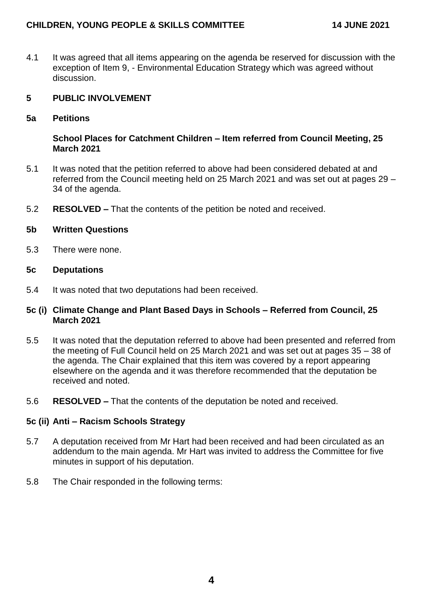# **CHILDREN, YOUNG PEOPLE & SKILLS COMMITTEE 14 JUNE 2021**

4.1 It was agreed that all items appearing on the agenda be reserved for discussion with the exception of Item 9, - Environmental Education Strategy which was agreed without discussion.

# **5 PUBLIC INVOLVEMENT**

**5a Petitions**

#### **School Places for Catchment Children – Item referred from Council Meeting, 25 March 2021**

- 5.1 It was noted that the petition referred to above had been considered debated at and referred from the Council meeting held on 25 March 2021 and was set out at pages 29 – 34 of the agenda.
- 5.2 **RESOLVED –** That the contents of the petition be noted and received.

#### **5b Written Questions**

5.3 There were none.

#### **5c Deputations**

5.4 It was noted that two deputations had been received.

## **5c (i) Climate Change and Plant Based Days in Schools – Referred from Council, 25 March 2021**

- 5.5 It was noted that the deputation referred to above had been presented and referred from the meeting of Full Council held on 25 March 2021 and was set out at pages 35 – 38 of the agenda. The Chair explained that this item was covered by a report appearing elsewhere on the agenda and it was therefore recommended that the deputation be received and noted.
- 5.6 **RESOLVED –** That the contents of the deputation be noted and received.

## **5c (ii) Anti – Racism Schools Strategy**

- 5.7 A deputation received from Mr Hart had been received and had been circulated as an addendum to the main agenda. Mr Hart was invited to address the Committee for five minutes in support of his deputation.
- 5.8 The Chair responded in the following terms: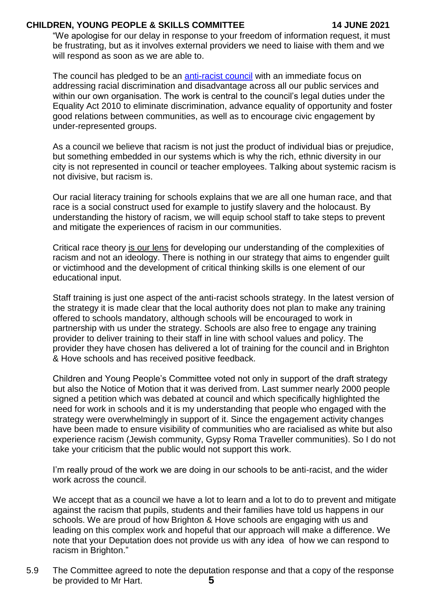# **CHILDREN, YOUNG PEOPLE & SKILLS COMMITTEE 14 JUNE 2021**

"We apologise for our delay in response to your freedom of information request, it must be frustrating, but as it involves external providers we need to liaise with them and we will respond as soon as we are able to.

The council has pledged to be an [anti-racist council](https://www.brighton-hove.gov.uk/becoming-anti-racist-city) with an immediate focus on addressing racial discrimination and disadvantage across all our public services and within our own organisation. The work is central to the council's legal duties under the Equality Act 2010 to eliminate discrimination, advance equality of opportunity and foster good relations between communities, as well as to encourage civic engagement by under-represented groups.

As a council we believe that racism is not just the product of individual bias or prejudice, but something embedded in our systems which is why the rich, ethnic diversity in our city is not represented in council or teacher employees. Talking about systemic racism is not divisive, but racism is.

Our racial literacy training for schools explains that we are all one human race, and that race is a social construct used for example to justify slavery and the holocaust. By understanding the history of racism, we will equip school staff to take steps to prevent and mitigate the experiences of racism in our communities.

Critical race theory is our lens for developing our understanding of the complexities of racism and not an ideology. There is nothing in our strategy that aims to engender guilt or victimhood and the development of critical thinking skills is one element of our educational input.

Staff training is just one aspect of the anti-racist schools strategy. In the latest version of the strategy it is made clear that the local authority does not plan to make any training offered to schools mandatory, although schools will be encouraged to work in partnership with us under the strategy. Schools are also free to engage any training provider to deliver training to their staff in line with school values and policy. The provider they have chosen has delivered a lot of training for the council and in Brighton & Hove schools and has received positive feedback.

Children and Young People's Committee voted not only in support of the draft strategy but also the Notice of Motion that it was derived from. Last summer nearly 2000 people signed a petition which was debated at council and which specifically highlighted the need for work in schools and it is my understanding that people who engaged with the strategy were overwhelmingly in support of it. Since the engagement activity changes have been made to ensure visibility of communities who are racialised as white but also experience racism (Jewish community, Gypsy Roma Traveller communities). So I do not take your criticism that the public would not support this work.

I'm really proud of the work we are doing in our schools to be anti-racist, and the wider work across the council.

We accept that as a council we have a lot to learn and a lot to do to prevent and mitigate against the racism that pupils, students and their families have told us happens in our schools. We are proud of how Brighton & Hove schools are engaging with us and leading on this complex work and hopeful that our approach will make a difference. We note that your Deputation does not provide us with any idea of how we can respond to racism in Brighton."

**5** 5.9 The Committee agreed to note the deputation response and that a copy of the response be provided to Mr Hart.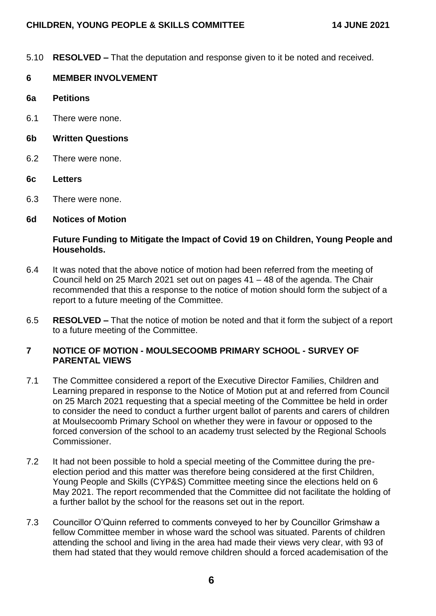5.10 **RESOLVED –** That the deputation and response given to it be noted and received.

# **6 MEMBER INVOLVEMENT**

- **6a Petitions**
- 6.1 There were none.
- **6b Written Questions**
- 6.2 There were none.
- **6c Letters**
- 6.3 There were none.

#### **6d Notices of Motion**

# **Future Funding to Mitigate the Impact of Covid 19 on Children, Young People and Households.**

- 6.4 It was noted that the above notice of motion had been referred from the meeting of Council held on 25 March 2021 set out on pages 41 – 48 of the agenda. The Chair recommended that this a response to the notice of motion should form the subject of a report to a future meeting of the Committee.
- 6.5 **RESOLVED –** That the notice of motion be noted and that it form the subject of a report to a future meeting of the Committee.

## **7 NOTICE OF MOTION - MOULSECOOMB PRIMARY SCHOOL - SURVEY OF PARENTAL VIEWS**

- 7.1 The Committee considered a report of the Executive Director Families, Children and Learning prepared in response to the Notice of Motion put at and referred from Council on 25 March 2021 requesting that a special meeting of the Committee be held in order to consider the need to conduct a further urgent ballot of parents and carers of children at Moulsecoomb Primary School on whether they were in favour or opposed to the forced conversion of the school to an academy trust selected by the Regional Schools Commissioner.
- 7.2 It had not been possible to hold a special meeting of the Committee during the preelection period and this matter was therefore being considered at the first Children, Young People and Skills (CYP&S) Committee meeting since the elections held on 6 May 2021. The report recommended that the Committee did not facilitate the holding of a further ballot by the school for the reasons set out in the report.
- 7.3 Councillor O'Quinn referred to comments conveyed to her by Councillor Grimshaw a fellow Committee member in whose ward the school was situated. Parents of children attending the school and living in the area had made their views very clear, with 93 of them had stated that they would remove children should a forced academisation of the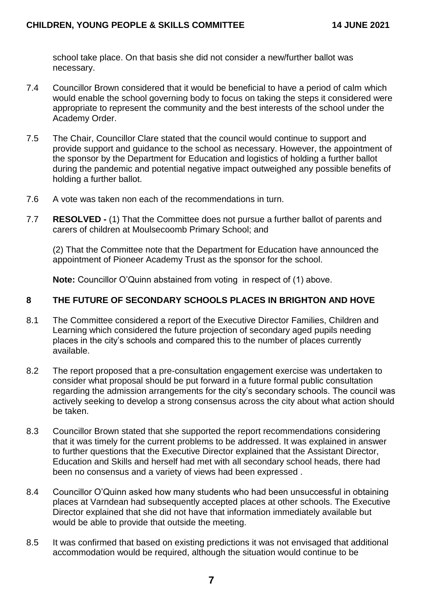school take place. On that basis she did not consider a new/further ballot was necessary.

- 7.4 Councillor Brown considered that it would be beneficial to have a period of calm which would enable the school governing body to focus on taking the steps it considered were appropriate to represent the community and the best interests of the school under the Academy Order.
- 7.5 The Chair, Councillor Clare stated that the council would continue to support and provide support and guidance to the school as necessary. However, the appointment of the sponsor by the Department for Education and logistics of holding a further ballot during the pandemic and potential negative impact outweighed any possible benefits of holding a further ballot.
- 7.6 A vote was taken non each of the recommendations in turn.
- 7.7 **RESOLVED -** (1) That the Committee does not pursue a further ballot of parents and carers of children at Moulsecoomb Primary School; and

(2) That the Committee note that the Department for Education have announced the appointment of Pioneer Academy Trust as the sponsor for the school.

**Note:** Councillor O'Quinn abstained from voting in respect of (1) above.

# **8 THE FUTURE OF SECONDARY SCHOOLS PLACES IN BRIGHTON AND HOVE**

- 8.1 The Committee considered a report of the Executive Director Families, Children and Learning which considered the future projection of secondary aged pupils needing places in the city's schools and compared this to the number of places currently available.
- 8.2 The report proposed that a pre-consultation engagement exercise was undertaken to consider what proposal should be put forward in a future formal public consultation regarding the admission arrangements for the city's secondary schools. The council was actively seeking to develop a strong consensus across the city about what action should be taken.
- 8.3 Councillor Brown stated that she supported the report recommendations considering that it was timely for the current problems to be addressed. It was explained in answer to further questions that the Executive Director explained that the Assistant Director, Education and Skills and herself had met with all secondary school heads, there had been no consensus and a variety of views had been expressed .
- 8.4 Councillor O'Quinn asked how many students who had been unsuccessful in obtaining places at Varndean had subsequently accepted places at other schools. The Executive Director explained that she did not have that information immediately available but would be able to provide that outside the meeting.
- 8.5 It was confirmed that based on existing predictions it was not envisaged that additional accommodation would be required, although the situation would continue to be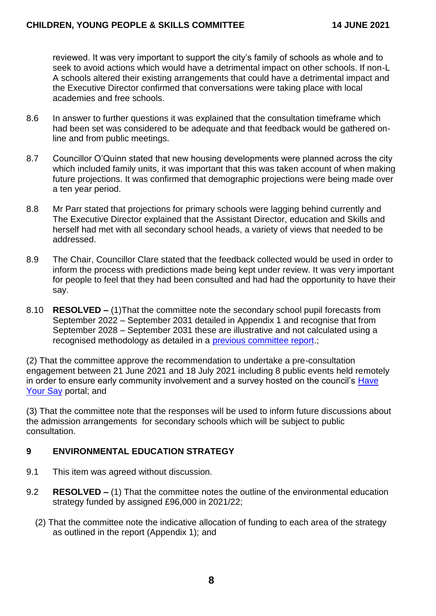reviewed. It was very important to support the city's family of schools as whole and to seek to avoid actions which would have a detrimental impact on other schools. If non-L A schools altered their existing arrangements that could have a detrimental impact and the Executive Director confirmed that conversations were taking place with local academies and free schools.

- 8.6 In answer to further questions it was explained that the consultation timeframe which had been set was considered to be adequate and that feedback would be gathered online and from public meetings.
- 8.7 Councillor O'Quinn stated that new housing developments were planned across the city which included family units, it was important that this was taken account of when making future projections. It was confirmed that demographic projections were being made over a ten year period.
- 8.8 Mr Parr stated that projections for primary schools were lagging behind currently and The Executive Director explained that the Assistant Director, education and Skills and herself had met with all secondary school heads, a variety of views that needed to be addressed.
- 8.9 The Chair, Councillor Clare stated that the feedback collected would be used in order to inform the process with predictions made being kept under review. It was very important for people to feel that they had been consulted and had had the opportunity to have their say.
- 8.10 **RESOLVED –** (1)That the committee note the secondary school pupil forecasts from September 2022 – September 2031 detailed in Appendix 1 and recognise that from September 2028 – September 2031 these are illustrative and not calculated using a recognised methodology as detailed in a [previous committee report.](https://present.brighton-hove.gov.uk/documents/s87539/Independent%20Review%20of%20Secondary%20Pupil%20Numbers%20Forecasts.pdf):

(2) That the committee approve the recommendation to undertake a pre-consultation engagement between 21 June 2021 and 18 July 2021 including 8 public events held remotely in order to ensure early community involvement and a survey hosted on the council's [Have](https://www.brighton-hove.gov.uk/content/council-and-democracy/consultations)  [Your Say](https://www.brighton-hove.gov.uk/content/council-and-democracy/consultations) portal; and

(3) That the committee note that the responses will be used to inform future discussions about the admission arrangements for secondary schools which will be subject to public consultation.

# **9 ENVIRONMENTAL EDUCATION STRATEGY**

- 9.1 This item was agreed without discussion.
- 9.2 **RESOLVED –** (1) That the committee notes the outline of the environmental education strategy funded by assigned £96,000 in 2021/22;
	- (2) That the committee note the indicative allocation of funding to each area of the strategy as outlined in the report (Appendix 1); and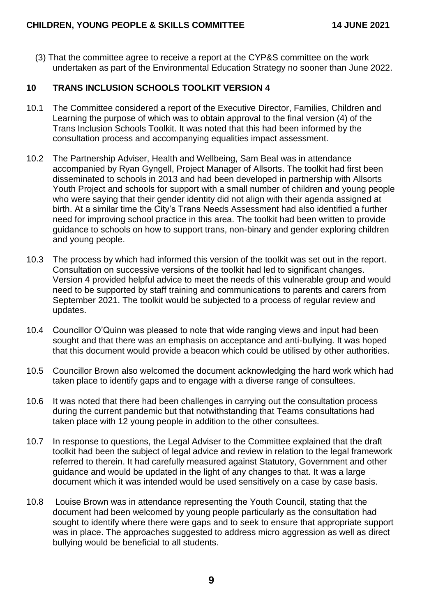(3) That the committee agree to receive a report at the CYP&S committee on the work undertaken as part of the Environmental Education Strategy no sooner than June 2022.

# **10 TRANS INCLUSION SCHOOLS TOOLKIT VERSION 4**

- 10.1 The Committee considered a report of the Executive Director, Families, Children and Learning the purpose of which was to obtain approval to the final version (4) of the Trans Inclusion Schools Toolkit. It was noted that this had been informed by the consultation process and accompanying equalities impact assessment.
- 10.2 The Partnership Adviser, Health and Wellbeing, Sam Beal was in attendance accompanied by Ryan Gyngell, Project Manager of Allsorts. The toolkit had first been disseminated to schools in 2013 and had been developed in partnership with Allsorts Youth Project and schools for support with a small number of children and young people who were saying that their gender identity did not align with their agenda assigned at birth. At a similar time the City's Trans Needs Assessment had also identified a further need for improving school practice in this area. The toolkit had been written to provide guidance to schools on how to support trans, non-binary and gender exploring children and young people.
- 10.3 The process by which had informed this version of the toolkit was set out in the report. Consultation on successive versions of the toolkit had led to significant changes. Version 4 provided helpful advice to meet the needs of this vulnerable group and would need to be supported by staff training and communications to parents and carers from September 2021. The toolkit would be subjected to a process of regular review and updates.
- 10.4 Councillor O'Quinn was pleased to note that wide ranging views and input had been sought and that there was an emphasis on acceptance and anti-bullying. It was hoped that this document would provide a beacon which could be utilised by other authorities.
- 10.5 Councillor Brown also welcomed the document acknowledging the hard work which had taken place to identify gaps and to engage with a diverse range of consultees.
- 10.6 It was noted that there had been challenges in carrying out the consultation process during the current pandemic but that notwithstanding that Teams consultations had taken place with 12 young people in addition to the other consultees.
- 10.7 In response to questions, the Legal Adviser to the Committee explained that the draft toolkit had been the subject of legal advice and review in relation to the legal framework referred to therein. It had carefully measured against Statutory, Government and other guidance and would be updated in the light of any changes to that. It was a large document which it was intended would be used sensitively on a case by case basis.
- 10.8 Louise Brown was in attendance representing the Youth Council, stating that the document had been welcomed by young people particularly as the consultation had sought to identify where there were gaps and to seek to ensure that appropriate support was in place. The approaches suggested to address micro aggression as well as direct bullying would be beneficial to all students.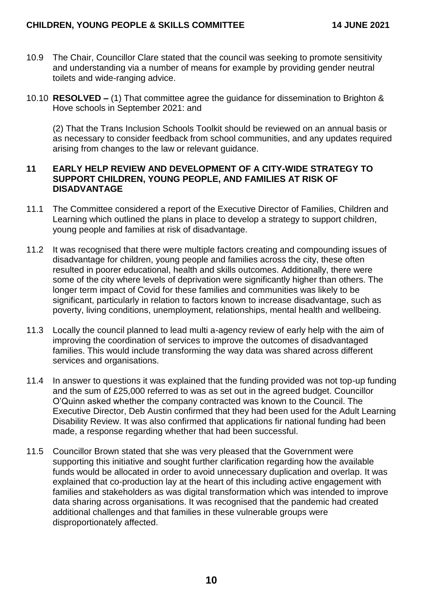- 10.9 The Chair, Councillor Clare stated that the council was seeking to promote sensitivity and understanding via a number of means for example by providing gender neutral toilets and wide-ranging advice.
- 10.10 **RESOLVED –** (1) That committee agree the guidance for dissemination to Brighton & Hove schools in September 2021: and

(2) That the Trans Inclusion Schools Toolkit should be reviewed on an annual basis or as necessary to consider feedback from school communities, and any updates required arising from changes to the law or relevant guidance.

## **11 EARLY HELP REVIEW AND DEVELOPMENT OF A CITY-WIDE STRATEGY TO SUPPORT CHILDREN, YOUNG PEOPLE, AND FAMILIES AT RISK OF DISADVANTAGE**

- 11.1 The Committee considered a report of the Executive Director of Families, Children and Learning which outlined the plans in place to develop a strategy to support children, young people and families at risk of disadvantage.
- 11.2 It was recognised that there were multiple factors creating and compounding issues of disadvantage for children, young people and families across the city, these often resulted in poorer educational, health and skills outcomes. Additionally, there were some of the city where levels of deprivation were significantly higher than others. The longer term impact of Covid for these families and communities was likely to be significant, particularly in relation to factors known to increase disadvantage, such as poverty, living conditions, unemployment, relationships, mental health and wellbeing.
- 11.3 Locally the council planned to lead multi a-agency review of early help with the aim of improving the coordination of services to improve the outcomes of disadvantaged families. This would include transforming the way data was shared across different services and organisations.
- 11.4 In answer to questions it was explained that the funding provided was not top-up funding and the sum of £25,000 referred to was as set out in the agreed budget. Councillor O'Quinn asked whether the company contracted was known to the Council. The Executive Director, Deb Austin confirmed that they had been used for the Adult Learning Disability Review. It was also confirmed that applications fir national funding had been made, a response regarding whether that had been successful.
- 11.5 Councillor Brown stated that she was very pleased that the Government were supporting this initiative and sought further clarification regarding how the available funds would be allocated in order to avoid unnecessary duplication and overlap. It was explained that co-production lay at the heart of this including active engagement with families and stakeholders as was digital transformation which was intended to improve data sharing across organisations. It was recognised that the pandemic had created additional challenges and that families in these vulnerable groups were disproportionately affected.